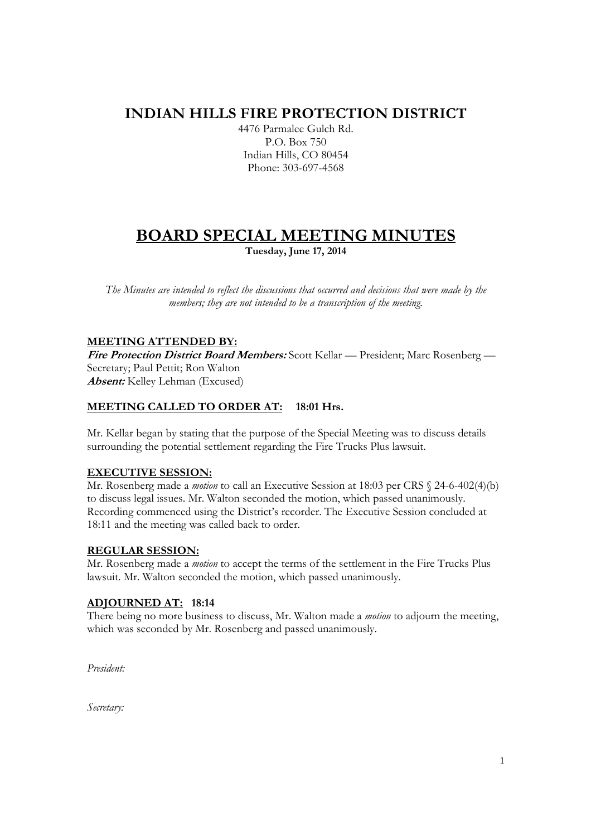# **INDIAN HILLS FIRE PROTECTION DISTRICT**

4476 Parmalee Gulch Rd. P.O. Box 750 Indian Hills, CO 80454 Phone: 303-697-4568

# **BOARD SPECIAL MEETING MINUTES**

**Tuesday, June 17, 2014** 

*The Minutes are intended to reflect the discussions that occurred and decisions that were made by the members; they are not intended to be a transcription of the meeting.* 

## **MEETING ATTENDED BY:**

**Fire Protection District Board Members:** Scott Kellar — President; Marc Rosenberg — Secretary; Paul Pettit; Ron Walton **Absent:** Kelley Lehman (Excused)

## **MEETING CALLED TO ORDER AT: 18:01 Hrs.**

Mr. Kellar began by stating that the purpose of the Special Meeting was to discuss details surrounding the potential settlement regarding the Fire Trucks Plus lawsuit.

#### **EXECUTIVE SESSION:**

Mr. Rosenberg made a *motion* to call an Executive Session at 18:03 per CRS § 24-6-402(4)(b) to discuss legal issues. Mr. Walton seconded the motion, which passed unanimously. Recording commenced using the District's recorder. The Executive Session concluded at 18:11 and the meeting was called back to order.

#### **REGULAR SESSION:**

Mr. Rosenberg made a *motion* to accept the terms of the settlement in the Fire Trucks Plus lawsuit. Mr. Walton seconded the motion, which passed unanimously.

#### **ADJOURNED AT: 18:14**

There being no more business to discuss, Mr. Walton made a *motion* to adjourn the meeting, which was seconded by Mr. Rosenberg and passed unanimously.

*President:* 

*Secretary:*